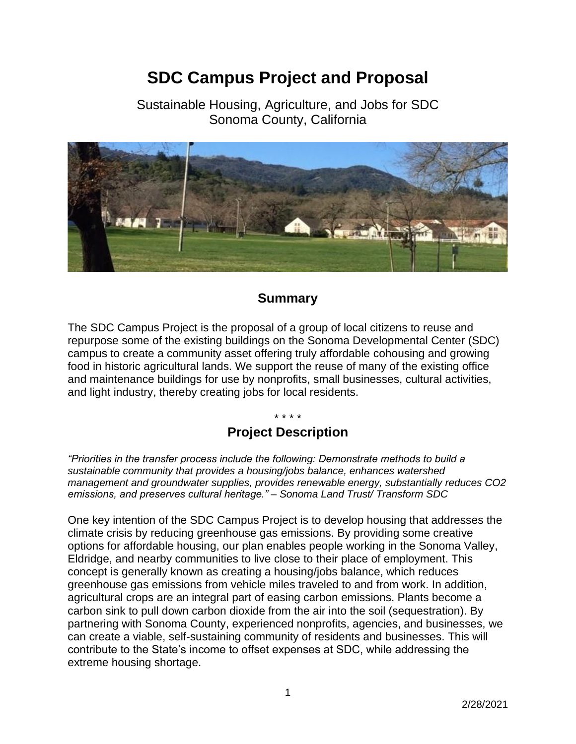# **SDC Campus Project and Proposal**

Sustainable Housing, Agriculture, and Jobs for SDC Sonoma County, California



# **Summary**

The SDC Campus Project is the proposal of a group of local citizens to reuse and repurpose some of the existing buildings on the Sonoma Developmental Center (SDC) campus to create a community asset offering truly affordable cohousing and growing food in historic agricultural lands. We support the reuse of many of the existing office and maintenance buildings for use by nonprofits, small businesses, cultural activities, and light industry, thereby creating jobs for local residents.

#### \* \* \* \*

# **Project Description**

*"Priorities in the transfer process include the following: Demonstrate methods to build a sustainable community that provides a housing/jobs balance, enhances watershed management and groundwater supplies, provides renewable energy, substantially reduces CO2 emissions, and preserves cultural heritage." – Sonoma Land Trust/ Transform SDC*

One key intention of the SDC Campus Project is to develop housing that addresses the climate crisis by reducing greenhouse gas emissions. By providing some creative options for affordable housing, our plan enables people working in the Sonoma Valley, Eldridge, and nearby communities to live close to their place of employment. This concept is generally known as creating a housing/jobs balance, which reduces greenhouse gas emissions from vehicle miles traveled to and from work. In addition, agricultural crops are an integral part of easing carbon emissions. Plants become a carbon sink to pull down carbon dioxide from the air into the soil (sequestration). By partnering with Sonoma County, experienced nonprofits, agencies, and businesses, we can create a viable, self-sustaining community of residents and businesses. This will contribute to the State's income to offset expenses at SDC, while addressing the extreme housing shortage.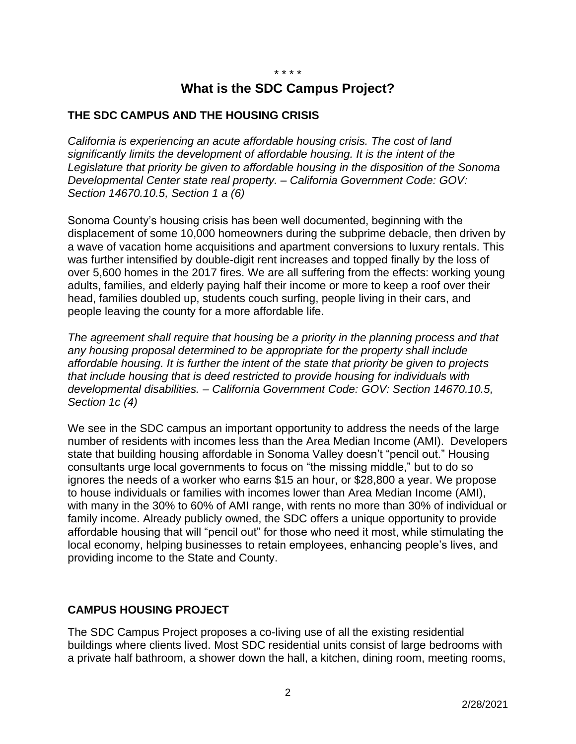\* \* \* \*

# **What is the SDC Campus Project?**

#### **THE SDC CAMPUS AND THE HOUSING CRISIS**

*California is experiencing an acute affordable housing crisis. The cost of land significantly limits the development of affordable housing. It is the intent of the Legislature that priority be given to affordable housing in the disposition of the Sonoma Developmental Center state real property. – California Government Code: [GOV:](https://leginfo.legislature.ca.gov/faces/codes_displaySection.xhtml?sectionNum=14670.10.5.&lawCode=GOV)  [Section 14670.10.5,](https://leginfo.legislature.ca.gov/faces/codes_displaySection.xhtml?sectionNum=14670.10.5.&lawCode=GOV) Section 1 a (6)*

Sonoma County's housing crisis has been well documented, beginning with the displacement of some 10,000 homeowners during the subprime debacle, then driven by a wave of vacation home acquisitions and apartment conversions to luxury rentals. This was further intensified by double-digit rent increases and topped finally by the loss of over 5,600 homes in the 2017 fires. We are all suffering from the effects: working young adults, families, and elderly paying half their income or more to keep a roof over their head, families doubled up, students couch surfing, people living in their cars, and people leaving the county for a more affordable life.

*The agreement shall require that housing be a priority in the planning process and that any housing proposal determined to be appropriate for the property shall include affordable housing. It is further the intent of the state that priority be given to projects that include housing that is deed restricted to provide housing for individuals with developmental disabilities. – California Government Code: [GOV: Section 14670.10.5,](https://leginfo.legislature.ca.gov/faces/codes_displaySection.xhtml?sectionNum=14670.10.5.&lawCode=GOV) Section 1c (4)*

We see in the SDC campus an important opportunity to address the needs of the large number of residents with incomes less than the Area Median Income (AMI). Developers state that building housing affordable in Sonoma Valley doesn't "pencil out." Housing consultants urge local governments to focus on "the missing middle," but to do so ignores the needs of a worker who earns \$15 an hour, or \$28,800 a year. We propose to house individuals or families with incomes lower than Area Median Income (AMI), with many in the 30% to 60% of AMI range, with rents no more than 30% of individual or family income. Already publicly owned, the SDC offers a unique opportunity to provide affordable housing that will "pencil out" for those who need it most, while stimulating the local economy, helping businesses to retain employees, enhancing people's lives, and providing income to the State and County.

## **CAMPUS HOUSING PROJECT**

The SDC Campus Project proposes a co-living use of all the existing residential buildings where clients lived. Most SDC residential units consist of large bedrooms with a private half bathroom, a shower down the hall, a kitchen, dining room, meeting rooms,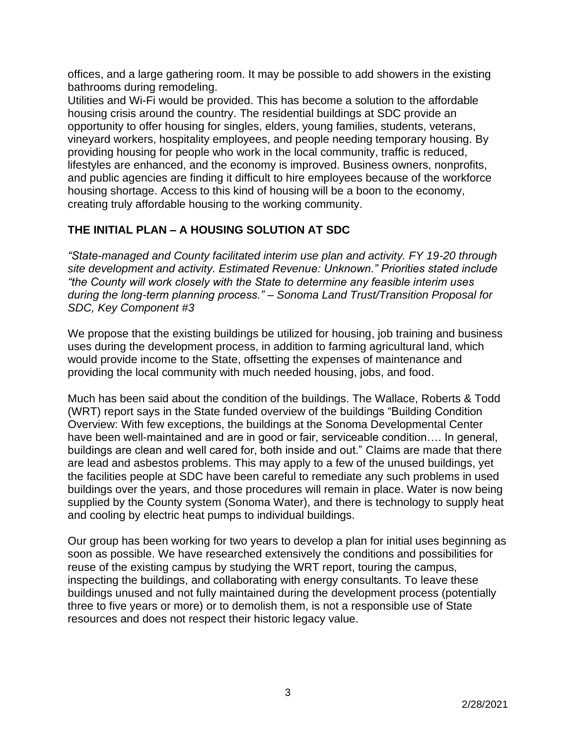offices, and a large gathering room. It may be possible to add showers in the existing bathrooms during remodeling.

Utilities and Wi-Fi would be provided. This has become a solution to the affordable housing crisis around the country. The residential buildings at SDC provide an opportunity to offer housing for singles, elders, young families, students, veterans, vineyard workers, hospitality employees, and people needing temporary housing. By providing housing for people who work in the local community, traffic is reduced, lifestyles are enhanced, and the economy is improved. Business owners, nonprofits, and public agencies are finding it difficult to hire employees because of the workforce housing shortage. Access to this kind of housing will be a boon to the economy, creating truly affordable housing to the working community.

# **THE INITIAL PLAN – A HOUSING SOLUTION AT SDC**

*"State-managed and County facilitated interim use plan and activity. FY 19-20 through site development and activity. Estimated Revenue: Unknown." Priorities stated include "the County will work closely with the State to determine any feasible interim uses during the long-term planning process." – Sonoma Land Trust/Transition Proposal for SDC, Key Component #3*

We propose that the existing buildings be utilized for housing, job training and business uses during the development process, in addition to farming agricultural land, which would provide income to the State, offsetting the expenses of maintenance and providing the local community with much needed housing, jobs, and food.

Much has been said about the condition of the buildings. The Wallace, Roberts & Todd (WRT) report says in the State funded overview of the buildings "Building Condition Overview: With few exceptions, the buildings at the Sonoma Developmental Center have been well-maintained and are in good or fair, serviceable condition…. In general, buildings are clean and well cared for, both inside and out." Claims are made that there are lead and asbestos problems. This may apply to a few of the unused buildings, yet the facilities people at SDC have been careful to remediate any such problems in used buildings over the years, and those procedures will remain in place. Water is now being supplied by the County system (Sonoma Water), and there is technology to supply heat and cooling by electric heat pumps to individual buildings.

Our group has been working for two years to develop a plan for initial uses beginning as soon as possible. We have researched extensively the conditions and possibilities for reuse of the existing campus by studying the WRT report, touring the campus, inspecting the buildings, and collaborating with energy consultants. To leave these buildings unused and not fully maintained during the development process (potentially three to five years or more) or to demolish them, is not a responsible use of State resources and does not respect their historic legacy value.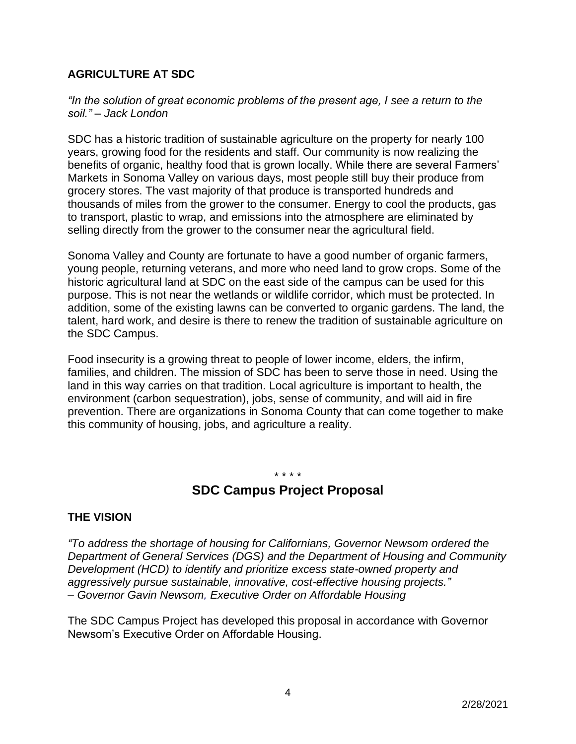## **AGRICULTURE AT SDC**

*"In the solution of great economic problems of the present age, I see a return to the soil." – Jack London*

SDC has a historic tradition of sustainable agriculture on the property for nearly 100 years, growing food for the residents and staff. Our community is now realizing the benefits of organic, healthy food that is grown locally. While there are several Farmers' Markets in Sonoma Valley on various days, most people still buy their produce from grocery stores. The vast majority of that produce is transported hundreds and thousands of miles from the grower to the consumer. Energy to cool the products, gas to transport, plastic to wrap, and emissions into the atmosphere are eliminated by selling directly from the grower to the consumer near the agricultural field.

Sonoma Valley and County are fortunate to have a good number of organic farmers, young people, returning veterans, and more who need land to grow crops. Some of the historic agricultural land at SDC on the east side of the campus can be used for this purpose. This is not near the wetlands or wildlife corridor, which must be protected. In addition, some of the existing lawns can be converted to organic gardens. The land, the talent, hard work, and desire is there to renew the tradition of sustainable agriculture on the SDC Campus.

Food insecurity is a growing threat to people of lower income, elders, the infirm, families, and children. The mission of SDC has been to serve those in need. Using the land in this way carries on that tradition. Local agriculture is important to health, the environment (carbon sequestration), jobs, sense of community, and will aid in fire prevention. There are organizations in Sonoma County that can come together to make this community of housing, jobs, and agriculture a reality.

# \* \* \* \* **SDC Campus Project Proposal**

#### **THE VISION**

*["To address the shortage of housing for Californians, Governor Newsom ordered the](https://www.dgs.ca.gov/RESD/Projects/Page-Content/Projects-List-Folder/Executive-Order-N-06-19-Affordable-Housing-Development)  [Department of General Services \(DGS\) and the Department of Housing and Community](https://www.dgs.ca.gov/RESD/Projects/Page-Content/Projects-List-Folder/Executive-Order-N-06-19-Affordable-Housing-Development)  [Development \(HCD\) to identify and prioritize excess state-owned property and](https://www.dgs.ca.gov/RESD/Projects/Page-Content/Projects-List-Folder/Executive-Order-N-06-19-Affordable-Housing-Development)  [aggressively pursue sustainable, innovative, cost-effective housing projects."](https://www.dgs.ca.gov/RESD/Projects/Page-Content/Projects-List-Folder/Executive-Order-N-06-19-Affordable-Housing-Development) – Governor Gavin Newsom, Executive Order on Affordable Housing*

The SDC Campus Project has developed this proposal in accordance with Governor Newsom's Executive Order on Affordable Housing.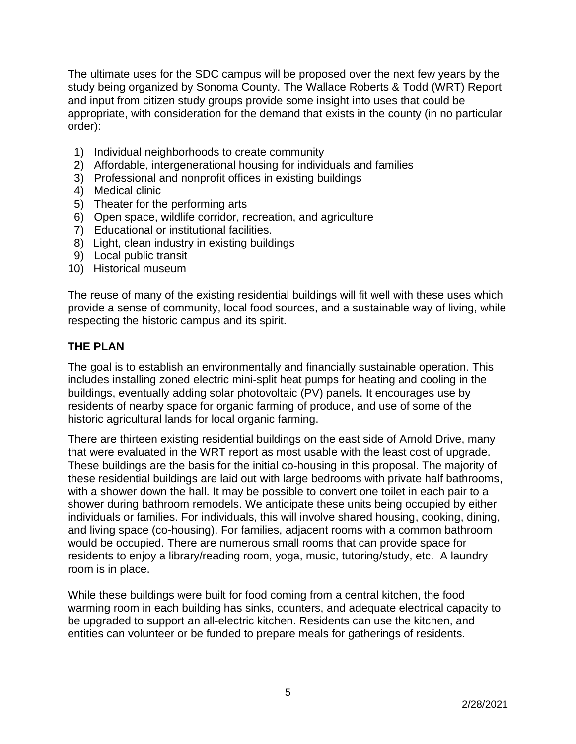The ultimate uses for the SDC campus will be proposed over the next few years by the study being organized by Sonoma County. The Wallace Roberts & Todd (WRT) Report and input from citizen study groups provide some insight into uses that could be appropriate, with consideration for the demand that exists in the county (in no particular order):

- 1) Individual neighborhoods to create community
- 2) Affordable, intergenerational housing for individuals and families
- 3) Professional and nonprofit offices in existing buildings
- 4) Medical clinic
- 5) Theater for the performing arts
- 6) Open space, wildlife corridor, recreation, and agriculture
- 7) Educational or institutional facilities.
- 8) Light, clean industry in existing buildings
- 9) Local public transit
- 10) Historical museum

The reuse of many of the existing residential buildings will fit well with these uses which provide a sense of community, local food sources, and a sustainable way of living, while respecting the historic campus and its spirit.

## **THE PLAN**

The goal is to establish an environmentally and financially sustainable operation. This includes installing zoned electric mini-split heat pumps for heating and cooling in the buildings, eventually adding solar photovoltaic (PV) panels. It encourages use by residents of nearby space for organic farming of produce, and use of some of the historic agricultural lands for local organic farming.

There are thirteen existing residential buildings on the east side of Arnold Drive, many that were evaluated in the WRT report as most usable with the least cost of upgrade. These buildings are the basis for the initial co-housing in this proposal. The majority of these residential buildings are laid out with large bedrooms with private half bathrooms, with a shower down the hall. It may be possible to convert one toilet in each pair to a shower during bathroom remodels. We anticipate these units being occupied by either individuals or families. For individuals, this will involve shared housing, cooking, dining, and living space (co-housing). For families, adjacent rooms with a common bathroom would be occupied. There are numerous small rooms that can provide space for residents to enjoy a library/reading room, yoga, music, tutoring/study, etc. A laundry room is in place.

While these buildings were built for food coming from a central kitchen, the food warming room in each building has sinks, counters, and adequate electrical capacity to be upgraded to support an all-electric kitchen. Residents can use the kitchen, and entities can volunteer or be funded to prepare meals for gatherings of residents.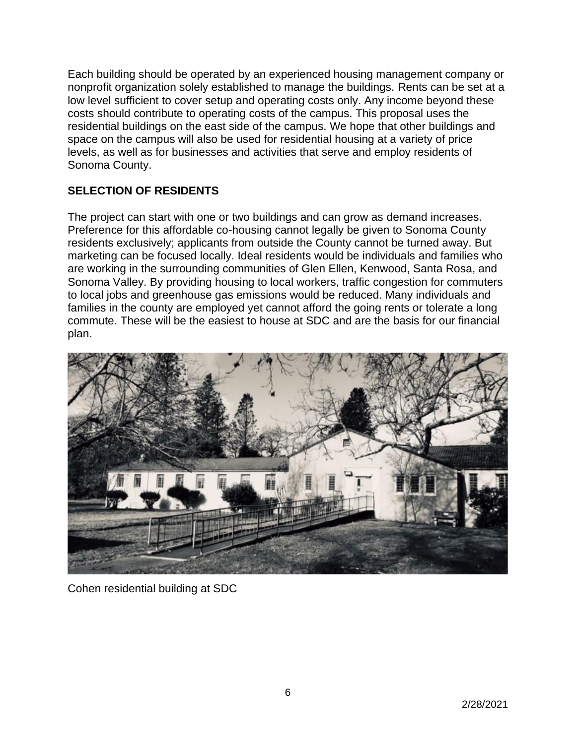Each building should be operated by an experienced housing management company or nonprofit organization solely established to manage the buildings. Rents can be set at a low level sufficient to cover setup and operating costs only. Any income beyond these costs should contribute to operating costs of the campus. This proposal uses the residential buildings on the east side of the campus. We hope that other buildings and space on the campus will also be used for residential housing at a variety of price levels, as well as for businesses and activities that serve and employ residents of Sonoma County.

# **SELECTION OF RESIDENTS**

The project can start with one or two buildings and can grow as demand increases. Preference for this affordable co-housing cannot legally be given to Sonoma County residents exclusively; applicants from outside the County cannot be turned away. But marketing can be focused locally. Ideal residents would be individuals and families who are working in the surrounding communities of Glen Ellen, Kenwood, Santa Rosa, and Sonoma Valley. By providing housing to local workers, traffic congestion for commuters to local jobs and greenhouse gas emissions would be reduced. Many individuals and families in the county are employed yet cannot afford the going rents or tolerate a long commute. These will be the easiest to house at SDC and are the basis for our financial plan.



Cohen residential building at SDC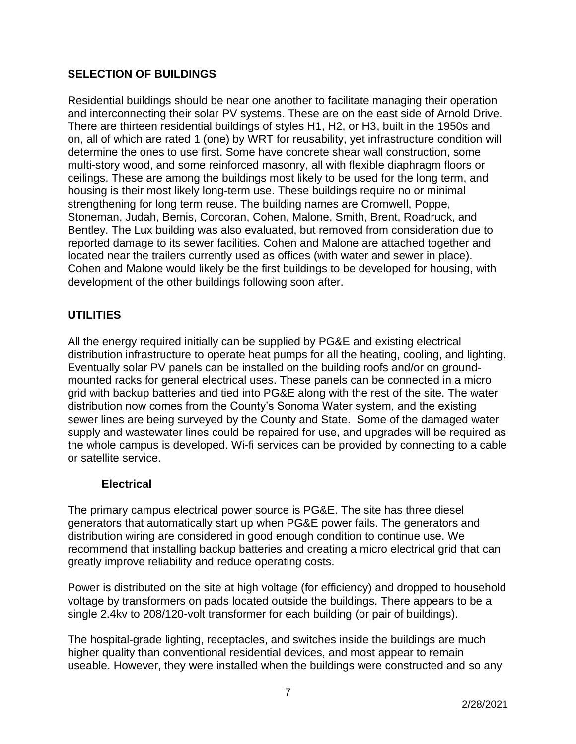## **SELECTION OF BUILDINGS**

Residential buildings should be near one another to facilitate managing their operation and interconnecting their solar PV systems. These are on the east side of Arnold Drive. There are thirteen residential buildings of styles H1, H2, or H3, built in the 1950s and on, all of which are rated 1 (one) by WRT for reusability, yet infrastructure condition will determine the ones to use first. Some have concrete shear wall construction, some multi-story wood, and some reinforced masonry, all with flexible diaphragm floors or ceilings. These are among the buildings most likely to be used for the long term, and housing is their most likely long-term use. These buildings require no or minimal strengthening for long term reuse. The building names are Cromwell, Poppe, Stoneman, Judah, Bemis, Corcoran, Cohen, Malone, Smith, Brent, Roadruck, and Bentley. The Lux building was also evaluated, but removed from consideration due to reported damage to its sewer facilities. Cohen and Malone are attached together and located near the trailers currently used as offices (with water and sewer in place). Cohen and Malone would likely be the first buildings to be developed for housing, with development of the other buildings following soon after.

# **UTILITIES**

All the energy required initially can be supplied by PG&E and existing electrical distribution infrastructure to operate heat pumps for all the heating, cooling, and lighting. Eventually solar PV panels can be installed on the building roofs and/or on groundmounted racks for general electrical uses. These panels can be connected in a micro grid with backup batteries and tied into PG&E along with the rest of the site. The water distribution now comes from the County's Sonoma Water system, and the existing sewer lines are being surveyed by the County and State. Some of the damaged water supply and wastewater lines could be repaired for use, and upgrades will be required as the whole campus is developed. Wi-fi services can be provided by connecting to a cable or satellite service.

#### **Electrical**

The primary campus electrical power source is PG&E. The site has three diesel generators that automatically start up when PG&E power fails. The generators and distribution wiring are considered in good enough condition to continue use. We recommend that installing backup batteries and creating a micro electrical grid that can greatly improve reliability and reduce operating costs.

Power is distributed on the site at high voltage (for efficiency) and dropped to household voltage by transformers on pads located outside the buildings. There appears to be a single 2.4kv to 208/120-volt transformer for each building (or pair of buildings).

The hospital-grade lighting, receptacles, and switches inside the buildings are much higher quality than conventional residential devices, and most appear to remain useable. However, they were installed when the buildings were constructed and so any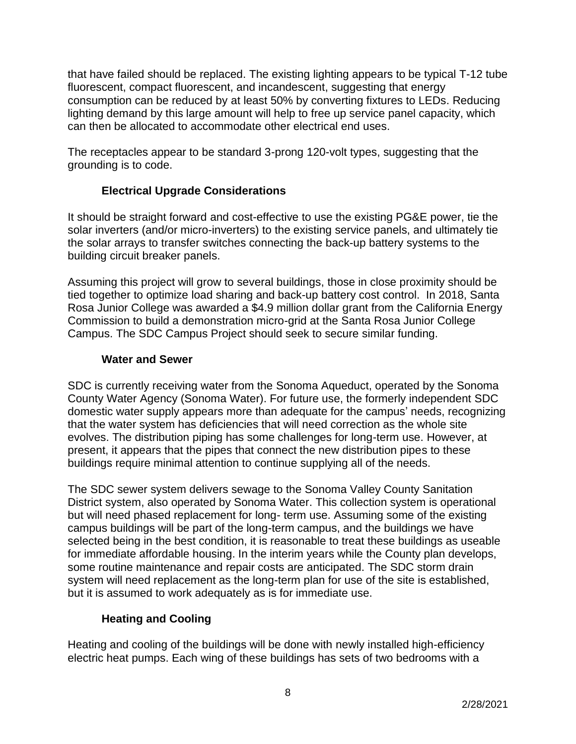that have failed should be replaced. The existing lighting appears to be typical T-12 tube fluorescent, compact fluorescent, and incandescent, suggesting that energy consumption can be reduced by at least 50% by converting fixtures to LEDs. Reducing lighting demand by this large amount will help to free up service panel capacity, which can then be allocated to accommodate other electrical end uses.

The receptacles appear to be standard 3-prong 120-volt types, suggesting that the grounding is to code.

# **Electrical Upgrade Considerations**

It should be straight forward and cost-effective to use the existing PG&E power, tie the solar inverters (and/or micro-inverters) to the existing service panels, and ultimately tie the solar arrays to transfer switches connecting the back-up battery systems to the building circuit breaker panels.

Assuming this project will grow to several buildings, those in close proximity should be tied together to optimize load sharing and back-up battery cost control. In 2018, Santa Rosa Junior College was awarded a \$4.9 million dollar grant from the California Energy Commission to build a demonstration micro-grid at the Santa Rosa Junior College Campus. The SDC Campus Project should seek to secure similar funding.

## **Water and Sewer**

SDC is currently receiving water from the Sonoma Aqueduct, operated by the Sonoma County Water Agency (Sonoma Water). For future use, the formerly independent SDC domestic water supply appears more than adequate for the campus' needs, recognizing that the water system has deficiencies that will need correction as the whole site evolves. The distribution piping has some challenges for long-term use. However, at present, it appears that the pipes that connect the new distribution pipes to these buildings require minimal attention to continue supplying all of the needs.

The SDC sewer system delivers sewage to the Sonoma Valley County Sanitation District system, also operated by Sonoma Water. This collection system is operational but will need phased replacement for long- term use. Assuming some of the existing campus buildings will be part of the long-term campus, and the buildings we have selected being in the best condition, it is reasonable to treat these buildings as useable for immediate affordable housing. In the interim years while the County plan develops, some routine maintenance and repair costs are anticipated. The SDC storm drain system will need replacement as the long-term plan for use of the site is established, but it is assumed to work adequately as is for immediate use.

# **Heating and Cooling**

Heating and cooling of the buildings will be done with newly installed high-efficiency electric heat pumps. Each wing of these buildings has sets of two bedrooms with a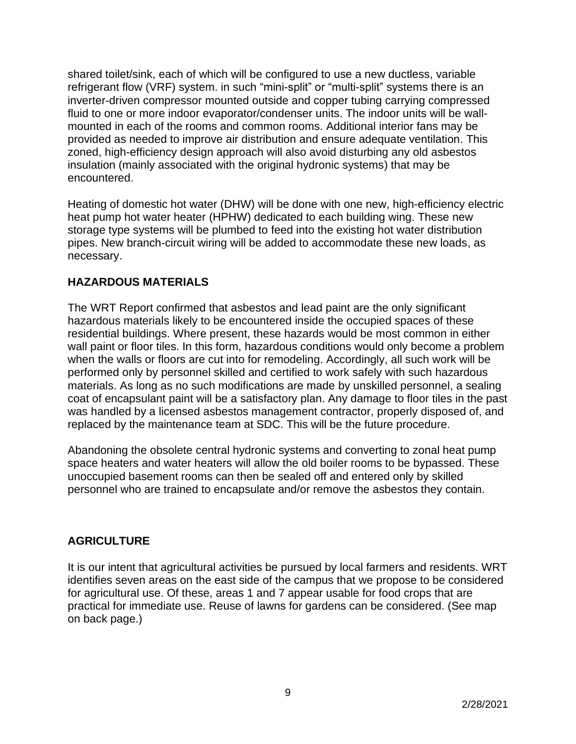shared toilet/sink, each of which will be configured to use a new ductless, variable refrigerant flow (VRF) system. in such "mini-split" or "multi-split" systems there is an inverter-driven compressor mounted outside and copper tubing carrying compressed fluid to one or more indoor evaporator/condenser units. The indoor units will be wallmounted in each of the rooms and common rooms. Additional interior fans may be provided as needed to improve air distribution and ensure adequate ventilation. This zoned, high-efficiency design approach will also avoid disturbing any old asbestos insulation (mainly associated with the original hydronic systems) that may be encountered.

Heating of domestic hot water (DHW) will be done with one new, high-efficiency electric heat pump hot water heater (HPHW) dedicated to each building wing. These new storage type systems will be plumbed to feed into the existing hot water distribution pipes. New branch-circuit wiring will be added to accommodate these new loads, as necessary.

## **HAZARDOUS MATERIALS**

The WRT Report confirmed that asbestos and lead paint are the only significant hazardous materials likely to be encountered inside the occupied spaces of these residential buildings. Where present, these hazards would be most common in either wall paint or floor tiles. In this form, hazardous conditions would only become a problem when the walls or floors are cut into for remodeling. Accordingly, all such work will be performed only by personnel skilled and certified to work safely with such hazardous materials. As long as no such modifications are made by unskilled personnel, a sealing coat of encapsulant paint will be a satisfactory plan. Any damage to floor tiles in the past was handled by a licensed asbestos management contractor, properly disposed of, and replaced by the maintenance team at SDC. This will be the future procedure.

Abandoning the obsolete central hydronic systems and converting to zonal heat pump space heaters and water heaters will allow the old boiler rooms to be bypassed. These unoccupied basement rooms can then be sealed off and entered only by skilled personnel who are trained to encapsulate and/or remove the asbestos they contain.

## **AGRICULTURE**

It is our intent that agricultural activities be pursued by local farmers and residents. WRT identifies seven areas on the east side of the campus that we propose to be considered for agricultural use. Of these, areas 1 and 7 appear usable for food crops that are practical for immediate use. Reuse of lawns for gardens can be considered. (See map on back page.)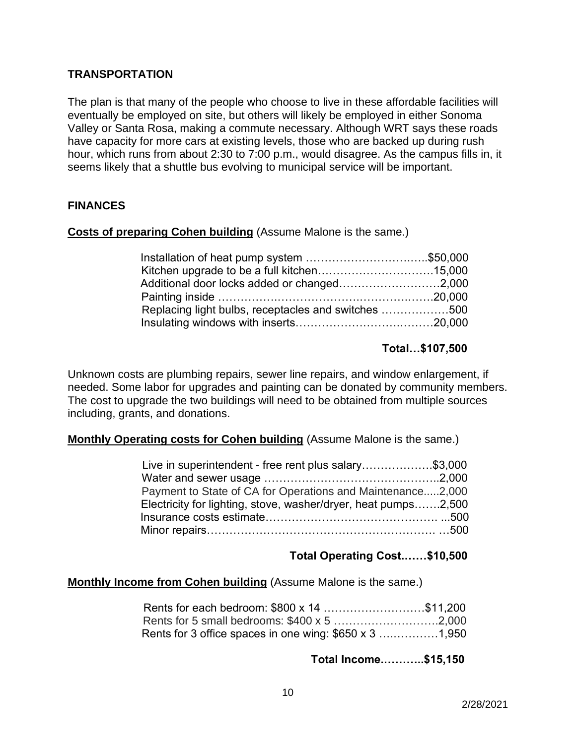#### **TRANSPORTATION**

The plan is that many of the people who choose to live in these affordable facilities will eventually be employed on site, but others will likely be employed in either Sonoma Valley or Santa Rosa, making a commute necessary. Although WRT says these roads have capacity for more cars at existing levels, those who are backed up during rush hour, which runs from about 2:30 to 7:00 p.m., would disagree. As the campus fills in, it seems likely that a shuttle bus evolving to municipal service will be important.

#### **FINANCES**

#### **Costs of preparing Cohen building** (Assume Malone is the same.)

| Installation of heat pump system \$50,000           |  |
|-----------------------------------------------------|--|
|                                                     |  |
| Additional door locks added or changed2,000         |  |
|                                                     |  |
| Replacing light bulbs, receptacles and switches 500 |  |
|                                                     |  |

#### **Total…\$107,500**

Unknown costs are plumbing repairs, sewer line repairs, and window enlargement, if needed. Some labor for upgrades and painting can be donated by community members. The cost to upgrade the two buildings will need to be obtained from multiple sources including, grants, and donations.

#### **Monthly Operating costs for Cohen building** (Assume Malone is the same.)

| Live in superintendent - free rent plus salary\$3,000          |  |
|----------------------------------------------------------------|--|
|                                                                |  |
| Payment to State of CA for Operations and Maintenance2,000     |  |
| Electricity for lighting, stove, washer/dryer, heat pumps2,500 |  |
|                                                                |  |
|                                                                |  |

#### **Total Operating Cost.……\$10,500**

#### **Monthly Income from Cohen building** (Assume Malone is the same.)

| Rents for 3 office spaces in one wing: \$650 x 3 1,950 |  |
|--------------------------------------------------------|--|

#### **Total Income.………..\$15,150**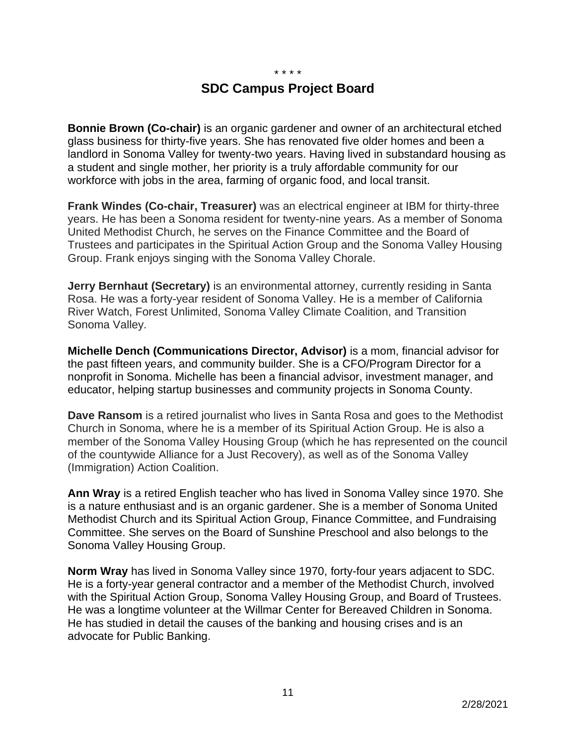\* \* \* \*

# **SDC Campus Project Board**

**Bonnie Brown (Co-chair)** is an organic gardener and owner of an architectural etched glass business for thirty-five years. She has renovated five older homes and been a landlord in Sonoma Valley for twenty-two years. Having lived in substandard housing as a student and single mother, her priority is a truly affordable community for our workforce with jobs in the area, farming of organic food, and local transit.

**Frank Windes (Co-chair, Treasurer)** was an electrical engineer at IBM for thirty-three years. He has been a Sonoma resident for twenty-nine years. As a member of Sonoma United Methodist Church, he serves on the Finance Committee and the Board of Trustees and participates in the Spiritual Action Group and the Sonoma Valley Housing Group. Frank enjoys singing with the Sonoma Valley Chorale.

**Jerry Bernhaut (Secretary)** is an environmental attorney, currently residing in Santa Rosa. He was a forty-year resident of Sonoma Valley. He is a member of California River Watch, Forest Unlimited, Sonoma Valley Climate Coalition, and Transition Sonoma Valley.

**Michelle Dench (Communications Director, Advisor)** is a mom, financial advisor for the past fifteen years, and community builder. She is a CFO/Program Director for a nonprofit in Sonoma. Michelle has been a financial advisor, investment manager, and educator, helping startup businesses and community projects in Sonoma County.

**Dave Ransom** is a retired journalist who lives in Santa Rosa and goes to the Methodist Church in Sonoma, where he is a member of its Spiritual Action Group. He is also a member of the Sonoma Valley Housing Group (which he has represented on the council of the countywide Alliance for a Just Recovery), as well as of the Sonoma Valley (Immigration) Action Coalition.

**Ann Wray** is a retired English teacher who has lived in Sonoma Valley since 1970. She is a nature enthusiast and is an organic gardener. She is a member of Sonoma United Methodist Church and its Spiritual Action Group, Finance Committee, and Fundraising Committee. She serves on the Board of Sunshine Preschool and also belongs to the Sonoma Valley Housing Group.

**Norm Wray** has lived in Sonoma Valley since 1970, forty-four years adjacent to SDC. He is a forty-year general contractor and a member of the Methodist Church, involved with the Spiritual Action Group, Sonoma Valley Housing Group, and Board of Trustees. He was a longtime volunteer at the Willmar Center for Bereaved Children in Sonoma. He has studied in detail the causes of the banking and housing crises and is an advocate for Public Banking.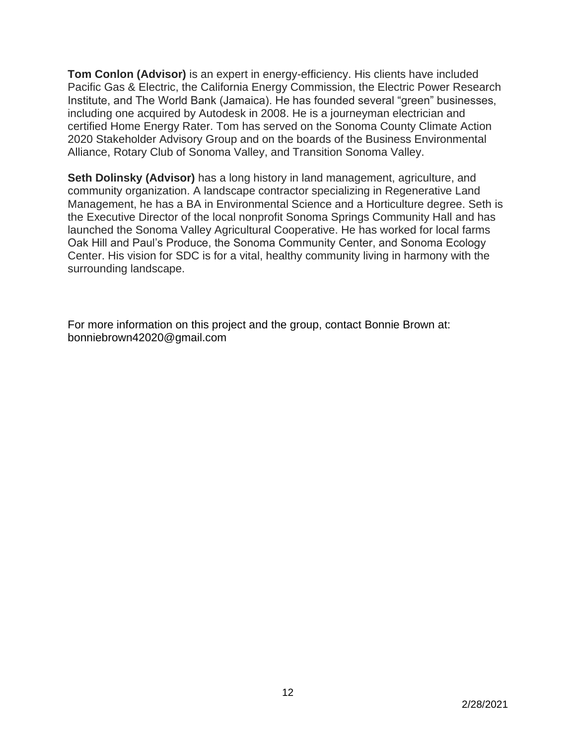**Tom Conlon (Advisor)** is an expert in energy-efficiency. His clients have included Pacific Gas & Electric, the California Energy Commission, the Electric Power Research Institute, and The World Bank (Jamaica). He has founded several "green" businesses, including one acquired by Autodesk in 2008. He is a journeyman electrician and certified Home Energy Rater. Tom has served on the Sonoma County Climate Action 2020 Stakeholder Advisory Group and on the boards of the Business Environmental Alliance, Rotary Club of Sonoma Valley, and Transition Sonoma Valley.

**Seth Dolinsky (Advisor)** has a long history in land management, agriculture, and community organization. A landscape contractor specializing in Regenerative Land Management, he has a BA in Environmental Science and a Horticulture degree. Seth is the Executive Director of the local nonprofit Sonoma Springs Community Hall and has launched the Sonoma Valley Agricultural Cooperative. He has worked for local farms Oak Hill and Paul's Produce, the Sonoma Community Center, and Sonoma Ecology Center. His vision for SDC is for a vital, healthy community living in harmony with the surrounding landscape.

For more information on this project and the group, contact Bonnie Brown at: bonniebrown42020@gmail.com